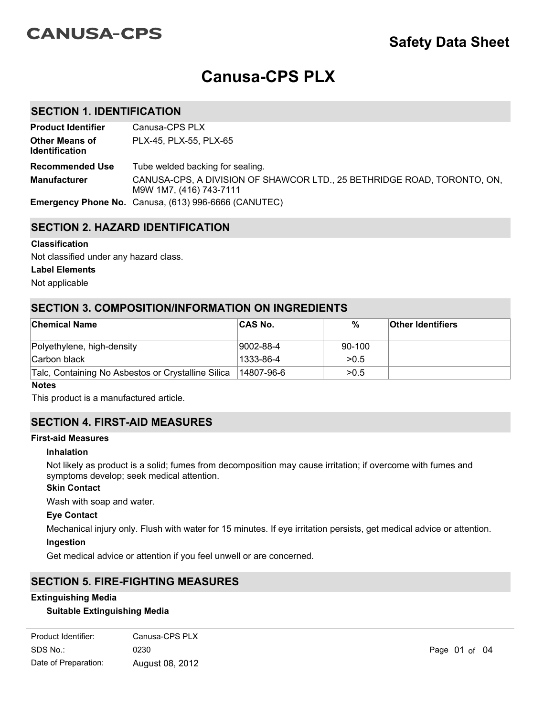# **CANUSA-CPS**

# **Safety Data Sheet**

# **Canusa-CPS PLX**

## **SECTION 1. IDENTIFICATION**

| <b>Product Identifier</b>                      | Canusa-CPS PLX                                                                                     |
|------------------------------------------------|----------------------------------------------------------------------------------------------------|
| <b>Other Means of</b><br><b>Identification</b> | PLX-45, PLX-55, PLX-65                                                                             |
| <b>Recommended Use</b>                         | Tube welded backing for sealing.                                                                   |
| <b>Manufacturer</b>                            | CANUSA-CPS, A DIVISION OF SHAWCOR LTD., 25 BETHRIDGE ROAD, TORONTO, ON,<br>M9W 1M7, (416) 743-7111 |
|                                                | <b>Emergency Phone No.</b> Canusa, (613) 996-6666 (CANUTEC)                                        |

# **SECTION 2. HAZARD IDENTIFICATION**

#### **Classification**

Not classified under any hazard class.

#### **Label Elements**

Not applicable

## **SECTION 3. COMPOSITION/INFORMATION ON INGREDIENTS**

| <b>Chemical Name</b>                               | ∣CAS No.    | $\%$   | <b>Other Identifiers</b> |
|----------------------------------------------------|-------------|--------|--------------------------|
| Polyethylene, high-density                         | 9002-88-4   | 90-100 |                          |
| Carbon black                                       | 1333-86-4   | >0.5   |                          |
| Talc, Containing No Asbestos or Crystalline Silica | l14807-96-6 | >0.5   |                          |

#### **Notes**

This product is a manufactured article.

## **SECTION 4. FIRST-AID MEASURES**

## **First-aid Measures**

#### **Inhalation**

Not likely as product is a solid; fumes from decomposition may cause irritation; if overcome with fumes and symptoms develop; seek medical attention.

## **Skin Contact**

Wash with soap and water.

#### **Eye Contact**

Mechanical injury only. Flush with water for 15 minutes. If eye irritation persists, get medical advice or attention.

Dry chemical powder, carbon dioxide, general purpose synthetic foams (including AFFF type), protein foams or

# **Ingestion**

Get medical advice or attention if you feel unwell or are concerned.

# **SECTION 5. FIRE-FIGHTING MEASURES**

## **Extinguishing Media**

## **Suitable Extinguishing Media**

| Product Identifier:  | Canusa-CPS PLX  |
|----------------------|-----------------|
| SDS No.:             | 0230            |
| Date of Preparation: | August 08, 2012 |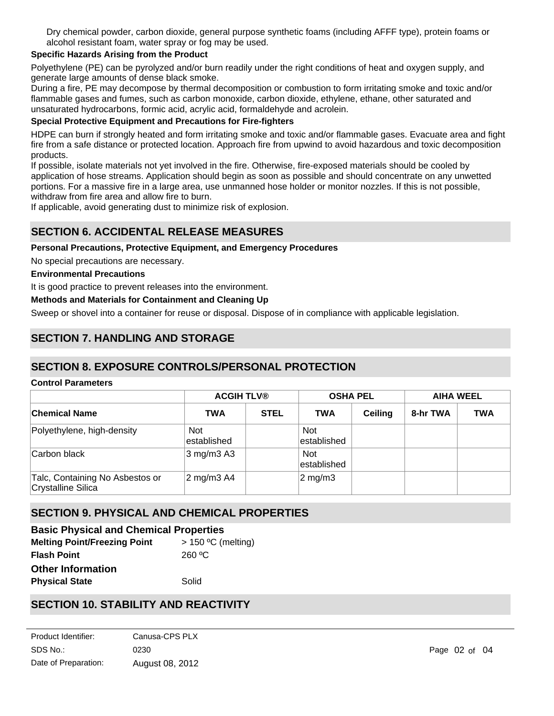Dry chemical powder, carbon dioxide, general purpose synthetic foams (including AFFF type), protein foams or alcohol resistant foam, water spray or fog may be used.

## **Specific Hazards Arising from the Product**

Polyethylene (PE) can be pyrolyzed and/or burn readily under the right conditions of heat and oxygen supply, and generate large amounts of dense black smoke.

During a fire, PE may decompose by thermal decomposition or combustion to form irritating smoke and toxic and/or flammable gases and fumes, such as carbon monoxide, carbon dioxide, ethylene, ethane, other saturated and unsaturated hydrocarbons, formic acid, acrylic acid, formaldehyde and acrolein.

#### **Special Protective Equipment and Precautions for Fire-fighters**

HDPE can burn if strongly heated and form irritating smoke and toxic and/or flammable gases. Evacuate area and fight fire from a safe distance or protected location. Approach fire from upwind to avoid hazardous and toxic decomposition products.

If possible, isolate materials not yet involved in the fire. Otherwise, fire-exposed materials should be cooled by application of hose streams. Application should begin as soon as possible and should concentrate on any unwetted portions. For a massive fire in a large area, use unmanned hose holder or monitor nozzles. If this is not possible, withdraw from fire area and allow fire to burn.

If applicable, avoid generating dust to minimize risk of explosion.

# **SECTION 6. ACCIDENTAL RELEASE MEASURES**

#### **Personal Precautions, Protective Equipment, and Emergency Procedures**

No special precautions are necessary.

#### **Environmental Precautions**

It is good practice to prevent releases into the environment.

#### **Methods and Materials for Containment and Cleaning Up**

Sweep or shovel into a container for reuse or disposal. Dispose of in compliance with applicable legislation.

# **SECTION 7. HANDLING AND STORAGE**

## **SECTION 8. EXPOSURE CONTROLS/PERSONAL PROTECTION**

## **Control Parameters**

|                                                       | <b>ACGIH TLV®</b>          |             | <b>OSHA PEL</b>            |         | <b>AIHA WEEL</b> |            |
|-------------------------------------------------------|----------------------------|-------------|----------------------------|---------|------------------|------------|
| ∣Chemical Name                                        | <b>TWA</b>                 | <b>STEL</b> | <b>TWA</b>                 | Ceiling | 8-hr TWA         | <b>TWA</b> |
| Polyethylene, high-density                            | <b>Not</b><br>lestablished |             | <b>Not</b><br>lestablished |         |                  |            |
| Carbon black                                          | $3 \text{ mg/m}$ 3 A3      |             | <b>Not</b><br>established  |         |                  |            |
| Talc, Containing No Asbestos or<br>Crystalline Silica | 2 mg/m3 A4                 |             | $2 \text{ mg/m}$ 3         |         |                  |            |

# **SECTION 9. PHYSICAL AND CHEMICAL PROPERTIES**

| <b>Basic Physical and Chemical Properties</b> |                      |  |  |  |
|-----------------------------------------------|----------------------|--|--|--|
| <b>Melting Point/Freezing Point</b>           | $>$ 150 °C (melting) |  |  |  |
| <b>Flash Point</b>                            | $260 \degree C$      |  |  |  |
| <b>Other Information</b>                      |                      |  |  |  |
| <b>Physical State</b>                         | Solid                |  |  |  |

# **SECTION 10. STABILITY AND REACTIVITY**

| Product Identifier:  | Canusa-CPS PLX  |
|----------------------|-----------------|
| SDS No.:             | 0230            |
| Date of Preparation: | August 08, 2012 |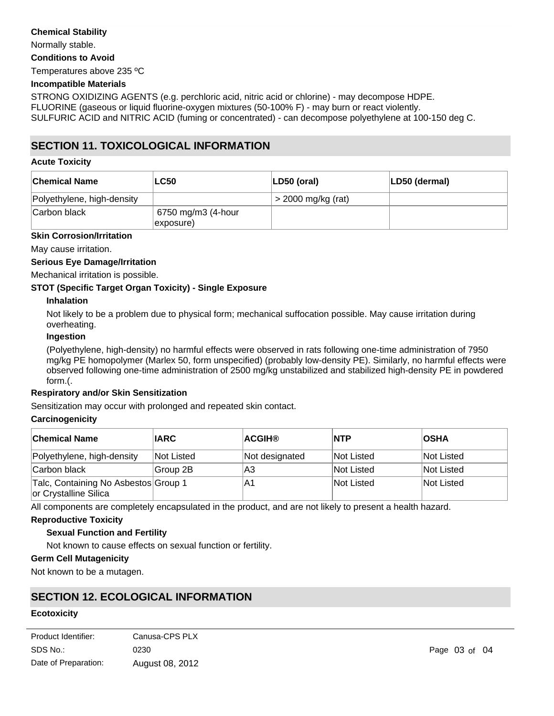#### **Chemical Stability**

Normally stable.

**Conditions to Avoid**

Temperatures above 235 ºC

#### **Incompatible Materials**

STRONG OXIDIZING AGENTS (e.g. perchloric acid, nitric acid or chlorine) - may decompose HDPE. FLUORINE (gaseous or liquid fluorine-oxygen mixtures (50-100% F) - may burn or react violently. SULFURIC ACID and NITRIC ACID (fuming or concentrated) - can decompose polyethylene at 100-150 deg C.

# **SECTION 11. TOXICOLOGICAL INFORMATION**

#### **Acute Toxicity**

| <b>Chemical Name</b>       | <b>LC50</b>                     | LD50 (oral)          | LD50 (dermal) |
|----------------------------|---------------------------------|----------------------|---------------|
| Polyethylene, high-density |                                 | $>$ 2000 mg/kg (rat) |               |
| Carbon black               | 6750 mg/m3 (4-hour<br>exposure) |                      |               |

#### **Skin Corrosion/Irritation**

May cause irritation.

## **Serious Eye Damage/Irritation**

Mechanical irritation is possible.

## **STOT (Specific Target Organ Toxicity) - Single Exposure**

#### **Inhalation**

Not likely to be a problem due to physical form; mechanical suffocation possible. May cause irritation during overheating.

#### **Ingestion**

(Polyethylene, high-density) no harmful effects were observed in rats following one-time administration of 7950 mg/kg PE homopolymer (Marlex 50, form unspecified) (probably low-density PE). Similarly, no harmful effects were observed following one-time administration of 2500 mg/kg unstabilized and stabilized high-density PE in powdered form.(.

#### **Respiratory and/or Skin Sensitization**

Sensitization may occur with prolonged and repeated skin contact.

#### **Carcinogenicity**

| <b>Chemical Name</b>                                          | <b>IARC</b> | <b>ACGIH®</b>  | <b>NTP</b> | <b>OSHA</b> |
|---------------------------------------------------------------|-------------|----------------|------------|-------------|
| Polyethylene, high-density                                    | Not Listed  | Not designated | Not Listed | Not Listed  |
| Carbon black                                                  | Group 2B    | lA3            | Not Listed | Not Listed  |
| Talc, Containing No Asbestos Group 1<br>or Crystalline Silica |             | ΙA1            | Not Listed | Not Listed  |

All components are completely encapsulated in the product, and are not likely to present a health hazard.

## **Reproductive Toxicity**

## **Sexual Function and Fertility**

Not known to cause effects on sexual function or fertility.

## **Germ Cell Mutagenicity**

Not known to be a mutagen.

# **SECTION 12. ECOLOGICAL INFORMATION**

#### **Ecotoxicity**

| Product Identifier:  | Canusa-CPS PLX  |
|----------------------|-----------------|
| SDS No.:             | 0230            |
| Date of Preparation: | August 08, 2012 |